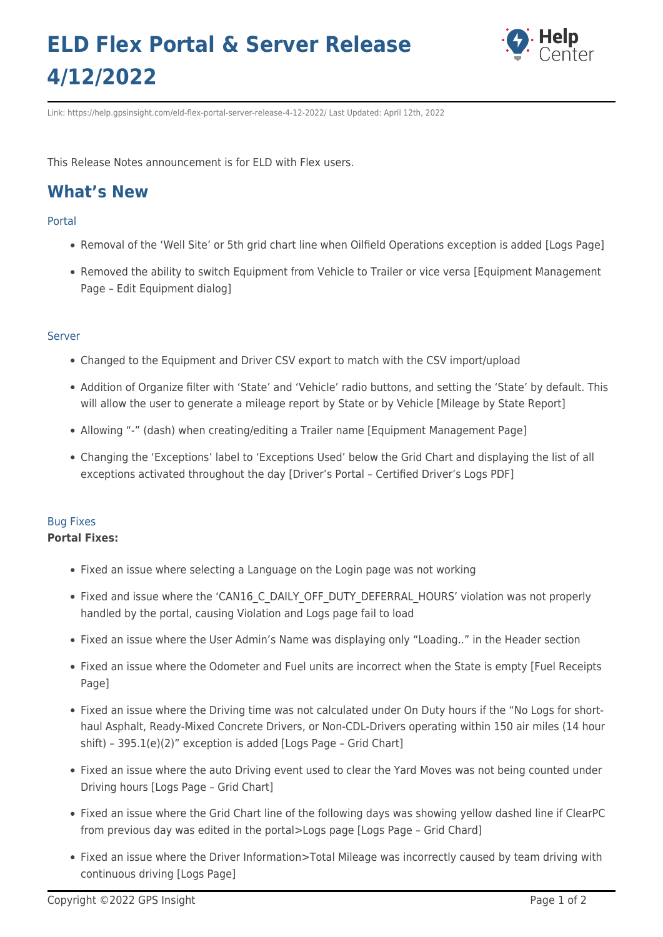# **ELD Flex Portal & Server Release 4/12/2022**



Link: https://help.gpsinsight.com/eld-flex-portal-server-release-4-12-2022/ Last Updated: April 12th, 2022

This Release Notes announcement is for ELD with Flex users.

## **What's New**

### Portal

- Removal of the 'Well Site' or 5th grid chart line when Oilfield Operations exception is added [Logs Page]
- Removed the ability to switch Equipment from Vehicle to Trailer or vice versa [Equipment Management Page – Edit Equipment dialog]

### Server

- Changed to the Equipment and Driver CSV export to match with the CSV import/upload
- Addition of Organize filter with 'State' and 'Vehicle' radio buttons, and setting the 'State' by default. This will allow the user to generate a mileage report by State or by Vehicle [Mileage by State Report]
- Allowing "-" (dash) when creating/editing a Trailer name [Equipment Management Page]
- Changing the 'Exceptions' label to 'Exceptions Used' below the Grid Chart and displaying the list of all exceptions activated throughout the day [Driver's Portal – Certified Driver's Logs PDF]

## Bug Fixes

#### **Portal Fixes:**

- Fixed an issue where selecting a Language on the Login page was not working
- Fixed and issue where the 'CAN16 C\_DAILY\_OFF\_DUTY\_DEFERRAL\_HOURS' violation was not properly handled by the portal, causing Violation and Logs page fail to load
- Fixed an issue where the User Admin's Name was displaying only "Loading.." in the Header section
- Fixed an issue where the Odometer and Fuel units are incorrect when the State is empty [Fuel Receipts Page]
- Fixed an issue where the Driving time was not calculated under On Duty hours if the "No Logs for shorthaul Asphalt, Ready-Mixed Concrete Drivers, or Non-CDL-Drivers operating within 150 air miles (14 hour shift) – 395.1(e)(2)" exception is added [Logs Page – Grid Chart]
- Fixed an issue where the auto Driving event used to clear the Yard Moves was not being counted under Driving hours [Logs Page – Grid Chart]
- Fixed an issue where the Grid Chart line of the following days was showing yellow dashed line if ClearPC from previous day was edited in the portal>Logs page [Logs Page – Grid Chard]
- Fixed an issue where the Driver Information>Total Mileage was incorrectly caused by team driving with continuous driving [Logs Page]